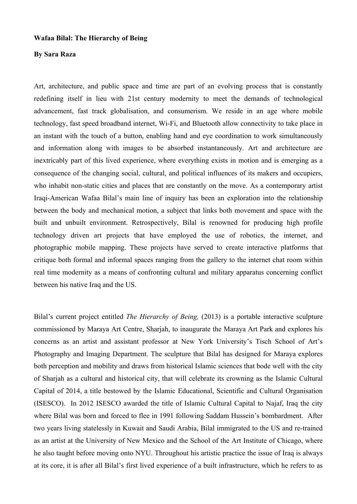## **Wafaa Bilal: The Hierarchy of Being**

## **By Sara Raza**

Art, architecture, and public space and time are part of an evolving process that is constantly redefining itself in lieu with 21st century modernity to meet the demands of technological advancement, fast track globalisation, and consumerism. We reside in an age where mobile technology, fast speed broadband internet, Wi-Fi, and Bluetooth allow connectivity to take place in an instant with the touch of a button, enabling hand and eye coordination to work simultaneously and information along with images to be absorbed instantaneously. Art and architecture are inextricably part of this lived experience, where everything exists in motion and is emerging as a consequence of the changing social, cultural, and political influences of its makers and occupiers, who inhabit non-static cities and places that are constantly on the move. As a contemporary artist Iraqi-American Wafaa Bilal's main line of inquiry has been an exploration into the relationship between the body and mechanical motion, a subject that links both movement and space with the built and unbuilt environment. Retrospectively, Bilal is renowned for producing high profile technology driven art projects that have employed the use of robotics, the internet, and photographic mobile mapping. These projects have served to create interactive platforms that critique both formal and informal spaces ranging from the gallery to the internet chat room within real time modernity as a means of confronting cultural and military apparatus concerning conflict between his native Iraq and the US.

Bilal's current project entitled *The Hierarchy of Being,* (2013) is a portable interactive sculpture commissioned by Maraya Art Centre, Sharjah, to inaugurate the Maraya Art Park and explores his concerns as an artist and assistant professor at New York University's Tisch School of Art's Photography and Imaging Department. The sculpture that Bilal has designed for Maraya explores both perception and mobility and draws from historical Islamic sciences that bode well with the city of Sharjah as a cultural and historical city, that will celebrate its crowning as the Islamic Cultural Capital of 2014, a title bestowed by the Islamic Educational, Scientific and Cultural Organisation (ISESCO). In 2012 ISESCO awarded the title of Islamic Cultural Capital to Najaf, Iraq the city where Bilal was born and forced to flee in 1991 following Saddam Hussein's bombardment. After two years living statelessly in Kuwait and Saudi Arabia, Bilal immigrated to the US and re-trained as an artist at the University of New Mexico and the School of the Art Institute of Chicago, where he also taught before moving onto NYU. Throughout his artistic practice the issue of Iraq is always at its core, it is after all Bilal's first lived experience of a built infrastructure, which he refers to as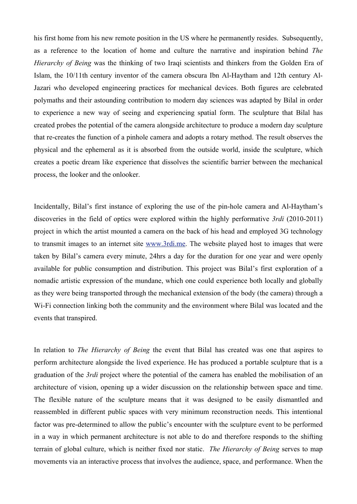his first home from his new remote position in the US where he permanently resides. Subsequently, as a reference to the location of home and culture the narrative and inspiration behind *The Hierarchy of Being* was the thinking of two Iraqi scientists and thinkers from the Golden Era of Islam, the 10/11th century inventor of the camera obscura Ibn Al-Haytham and 12th century Al-Jazari who developed engineering practices for mechanical devices. Both figures are celebrated polymaths and their astounding contribution to modern day sciences was adapted by Bilal in order to experience a new way of seeing and experiencing spatial form. The sculpture that Bilal has created probes the potential of the camera alongside architecture to produce a modern day sculpture that re-creates the function of a pinhole camera and adopts a rotary method. The result observes the physical and the ephemeral as it is absorbed from the outside world, inside the sculpture, which creates a poetic dream like experience that dissolves the scientific barrier between the mechanical process, the looker and the onlooker.

Incidentally, Bilal's first instance of exploring the use of the pin-hole camera and Al-Haytham's discoveries in the field of optics were explored within the highly performative *3rdi* (2010-2011) project in which the artist mounted a camera on the back of his head and employed 3G technology to transmit images to an internet site www.3rdi.me. The website played host to images that were taken by Bilal's camera every minute, 24hrs a day for the duration for one year and were openly available for public consumption and distribution. This project was Bilal's first exploration of a nomadic artistic expression of the mundane, which one could experience both locally and globally as they were being transported through the mechanical extension of the body (the camera) through a Wi-Fi connection linking both the community and the environment where Bilal was located and the events that transpired.

In relation to *The Hierarchy of Being* the event that Bilal has created was one that aspires to perform architecture alongside the lived experience. He has produced a portable sculpture that is a graduation of the *3rdi* project where the potential of the camera has enabled the mobilisation of an architecture of vision, opening up a wider discussion on the relationship between space and time. The flexible nature of the sculpture means that it was designed to be easily dismantled and reassembled in different public spaces with very minimum reconstruction needs. This intentional factor was pre-determined to allow the public's encounter with the sculpture event to be performed in a way in which permanent architecture is not able to do and therefore responds to the shifting terrain of global culture, which is neither fixed nor static. *The Hierarchy of Being* serves to map movements via an interactive process that involves the audience, space, and performance. When the